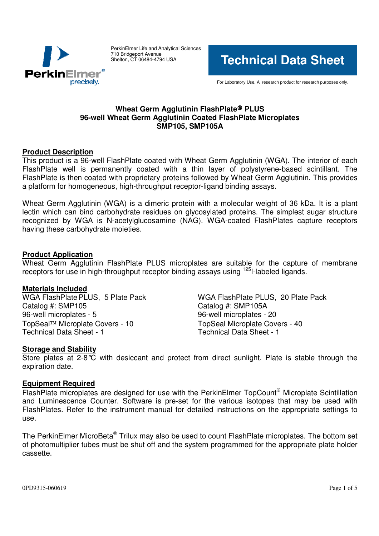

PerkinElmer Life and Analytical Sciences 710 Bridgeport Avenue Shelton, CT 06484-4794 USA

**Technical Data Sheet**

For Laboratory Use. A research product for research purposes only.

# **Wheat Germ Agglutinin FlashPlate PLUS 96-well Wheat Germ Agglutinin Coated FlashPlate Microplates SMP105, SMP105A**

#### **Product Description**

This product is a 96-well FlashPlate coated with Wheat Germ Agglutinin (WGA). The interior of each FlashPlate well is permanently coated with a thin layer of polystyrene-based scintillant. The FlashPlate is then coated with proprietary proteins followed by Wheat Germ Agglutinin. This provides a platform for homogeneous, high-throughput receptor-ligand binding assays.

Wheat Germ Agglutinin (WGA) is a dimeric protein with a molecular weight of 36 kDa. It is a plant lectin which can bind carbohydrate residues on glycosylated proteins. The simplest sugar structure recognized by WGA is N-acetylglucosamine (NAG). WGA-coated FlashPlates capture receptors having these carbohydrate moieties.

#### **Product Application**

Wheat Germ Agglutinin FlashPlate PLUS microplates are suitable for the capture of membrane receptors for use in high-throughput receptor binding assays using <sup>125</sup>I-labeled ligands.

**Materials Included** Catalog #: SMP105 Catalog #: SMP105A 96-well microplates - 5 96-well microplates - 20 TopSeal™ Microplate Covers - 10 TopSeal Microplate Covers - 40<br>Technical Data Sheet - 1 Technical Data Sheet - 1

WGA FlashPlate PLUS, 20 Plate Pack Technical Data Sheet - 1

## **Storage and Stability**

Store plates at 2-8°C with desiccant and protect from direct sunlight. Plate is stable through the expiration date.

#### **Equipment Required**

FlashPlate microplates are designed for use with the PerkinElmer TopCount® Microplate Scintillation and Luminescence Counter. Software is pre-set for the various isotopes that may be used with FlashPlates. Refer to the instrument manual for detailed instructions on the appropriate settings to use.

The PerkinElmer MicroBeta® Trilux may also be used to count FlashPlate microplates. The bottom set of photomultiplier tubes must be shut off and the system programmed for the appropriate plate holder cassette.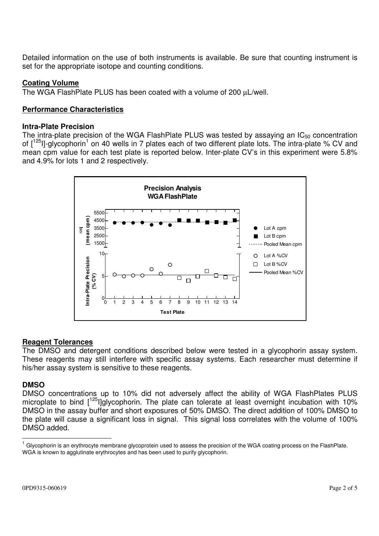Detailed information on the use of both instruments is available. Be sure that counting instrument is set for the appropriate isotope and counting conditions.

# **Coating Volume**

The WGA FlashPlate PLUS has been coated with a volume of 200 µL/well.

# **Performance Characteristics**

#### **Intra-Plate Precision**

The intra-plate precision of the WGA FlashPlate PLUS was tested by assaying an  $IC_{50}$  concentration of [<sup>125</sup>l]-glycophorin<sup>1</sup> on 40 wells in 7 plates each of two different plate lots. The intra-plate % CV and mean cpm value for each test plate is reported below. Inter-plate CV's in this experiment were 5.8% and 4.9% for lots 1 and 2 respectively.



## **Reagent Tolerances**

The DMSO and detergent conditions described below were tested in a glycophorin assay system. These reagents may still interfere with specific assay systems. Each researcher must determine if his/her assay system is sensitive to these reagents.

## **DMSO**

DMSO concentrations up to 10% did not adversely affect the ability of WGA FlashPlates PLUS microplate to bind [<sup>125</sup>l]glycophorin. The plate can tolerate at least overnight incubation with 10% DMSO in the assay buffer and short exposures of 50% DMSO. The direct addition of 100% DMSO to the plate will cause a significant loss in signal. This signal loss correlates with the volume of 100% DMSO added.

<sup>1</sup> Glycophorin is an erythrocyte membrane glycoprotein used to assess the precision of the WGA coating process on the FlashPlate. WGA is known to agglutinate erythrocytes and has been used to purify glycophorin.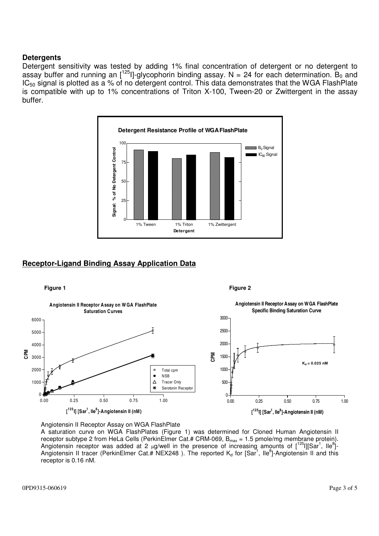#### **Detergents**

Detergent sensitivity was tested by adding 1% final concentration of detergent or no detergent to assay buffer and running an [<sup>125</sup>l]-glycophorin binding assay. N = 24 for each determination. B<sub>0</sub> and  $IC_{50}$  signal is plotted as a % of no detergent control. This data demonstrates that the WGA FlashPlate is compatible with up to 1% concentrations of Triton X-100, Tween-20 or Zwittergent in the assay buffer.



## **Receptor-Ligand Binding Assay Application Data**



#### Angiotensin II Receptor Assay on WGA FlashPlate

A saturation curve on WGA FlashPlates (Figure 1) was determined for Cloned Human Angiotensin II receptor subtype 2 from HeLa Cells (PerkinElmer Cat.# CRM-069,  $B_{max} = 1.5$  pmole/mg membrane protein). Angiotensin receptor was added at 2 µg/well in the presence of increasing amounts of  $[^{125}]]$ [Sar<sup>1</sup>, Ile<sup>8</sup>]-Angiotensin II tracer (PerkinElmer Cat.# NEX248). The reported  $K_d$  for [Sar<sup>1</sup>, Ile<sup>8</sup>]-Angiotensin II and this receptor is 0.16 nM.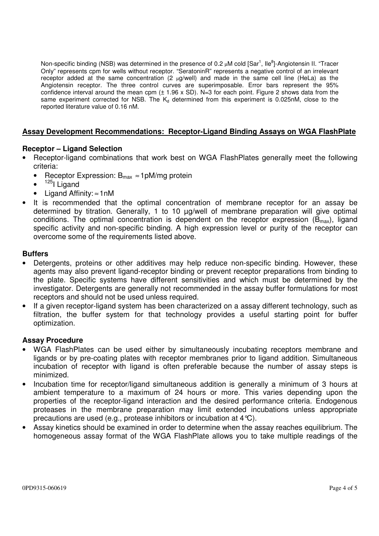Non-specific binding (NSB) was determined in the presence of 0.2 µM cold [Sar<sup>1</sup>, Ile<sup>8</sup>]-Angiotensin II. "Tracer Only" represents cpm for wells without receptor. "SeratoninR" represents a negative control of an irrelevant receptor added at the same concentration  $(2 \mu g/well)$  and made in the same cell line (HeLa) as the Angiotensin receptor. The three control curves are superimposable. Error bars represent the 95% confidence interval around the mean cpm  $(\pm 1.96 \times SD)$ . N=3 for each point. Figure 2 shows data from the same experiment corrected for NSB. The  $K<sub>d</sub>$  determined from this experiment is 0.025nM, close to the reported literature value of 0.16 nM.

## **Assay Development Recommendations: Receptor-Ligand Binding Assays on WGA FlashPlate**

## **Receptor – Ligand Selection**

- Receptor-ligand combinations that work best on WGA FlashPlates generally meet the following criteria:
	- Receptor Expression:  $B_{max} \approx 1$ pM/mg protein
	- <sup>125</sup>l Ligand
	- Ligand Affinity: ≈1nM
- It is recommended that the optimal concentration of membrane receptor for an assay be determined by titration. Generally, 1 to 10 µg/well of membrane preparation will give optimal conditions. The optimal concentration is dependent on the receptor expression  $(B_{max})$ , ligand specific activity and non-specific binding. A high expression level or purity of the receptor can overcome some of the requirements listed above.

## **Buffers**

- Detergents, proteins or other additives may help reduce non-specific binding. However, these agents may also prevent ligand-receptor binding or prevent receptor preparations from binding to the plate. Specific systems have different sensitivities and which must be determined by the investigator. Detergents are generally not recommended in the assay buffer formulations for most receptors and should not be used unless required.
- If a given receptor-ligand system has been characterized on a assay different technology, such as filtration, the buffer system for that technology provides a useful starting point for buffer optimization.

## **Assay Procedure**

- WGA FlashPlates can be used either by simultaneously incubating receptors membrane and ligands or by pre-coating plates with receptor membranes prior to ligand addition. Simultaneous incubation of receptor with ligand is often preferable because the number of assay steps is minimized.
- Incubation time for receptor/ligand simultaneous addition is generally a minimum of 3 hours at ambient temperature to a maximum of 24 hours or more. This varies depending upon the properties of the receptor-ligand interaction and the desired performance criteria. Endogenous proteases in the membrane preparation may limit extended incubations unless appropriate precautions are used (e.g., protease inhibitors or incubation at 4°C).
- Assay kinetics should be examined in order to determine when the assay reaches equilibrium. The homogeneous assay format of the WGA FlashPlate allows you to take multiple readings of the